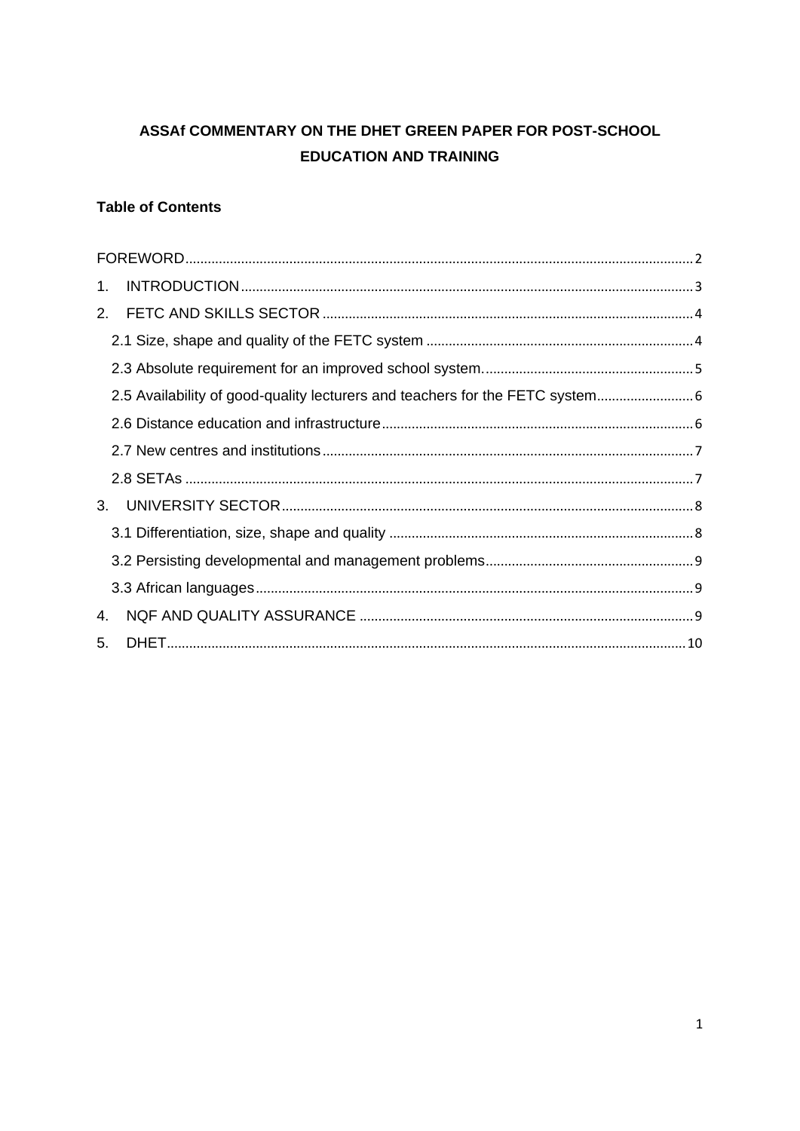# ASSAf COMMENTARY ON THE DHET GREEN PAPER FOR POST-SCHOOL **EDUCATION AND TRAINING**

## **Table of Contents**

| 1. |                                                                             |  |
|----|-----------------------------------------------------------------------------|--|
| 2. |                                                                             |  |
|    |                                                                             |  |
|    |                                                                             |  |
|    | 2.5 Availability of good-quality lecturers and teachers for the FETC system |  |
|    |                                                                             |  |
|    |                                                                             |  |
|    |                                                                             |  |
| 3. |                                                                             |  |
|    |                                                                             |  |
|    |                                                                             |  |
|    |                                                                             |  |
| 4. |                                                                             |  |
| 5. |                                                                             |  |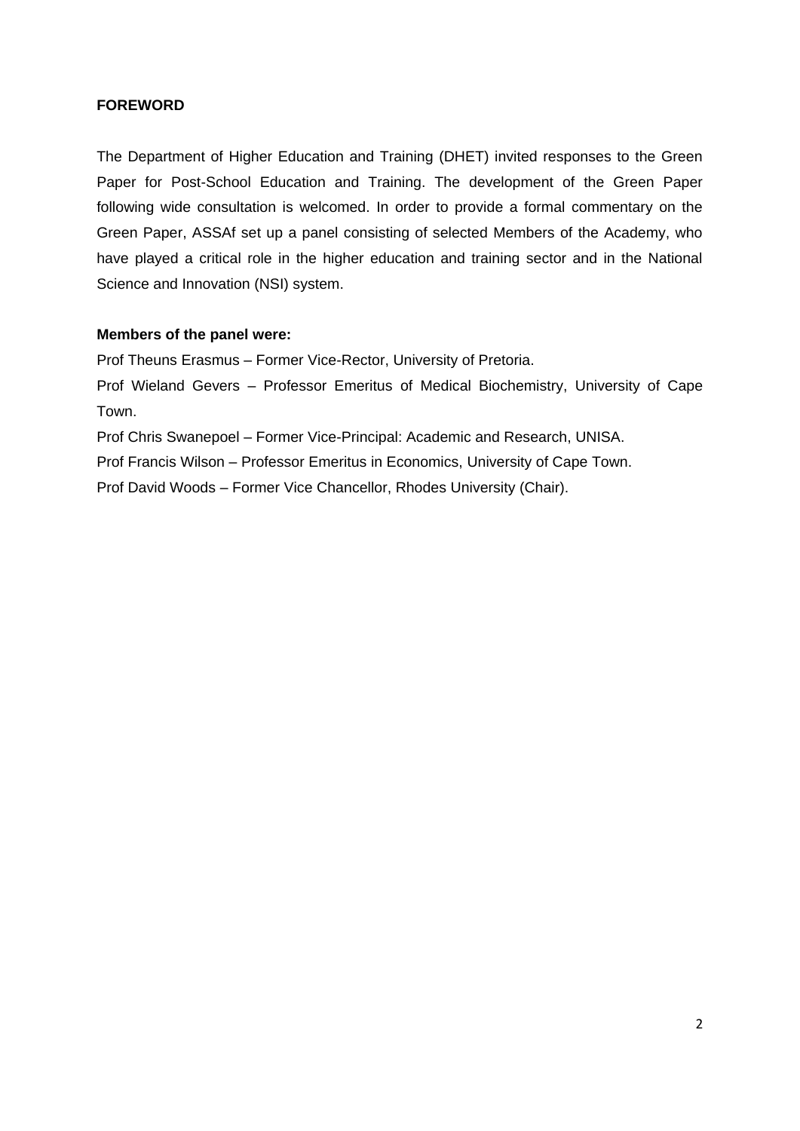## <span id="page-1-0"></span>**FOREWORD**

The Department of Higher Education and Training (DHET) invited responses to the Green Paper for Post-School Education and Training. The development of the Green Paper following wide consultation is welcomed. In order to provide a formal commentary on the Green Paper, ASSAf set up a panel consisting of selected Members of the Academy, who have played a critical role in the higher education and training sector and in the National Science and Innovation (NSI) system.

#### **Members of the panel were:**

Prof Theuns Erasmus – Former Vice-Rector, University of Pretoria.

Prof Wieland Gevers – Professor Emeritus of Medical Biochemistry, University of Cape Town.

Prof Chris Swanepoel – Former Vice-Principal: Academic and Research, UNISA.

Prof Francis Wilson – Professor Emeritus in Economics, University of Cape Town.

Prof David Woods – Former Vice Chancellor, Rhodes University (Chair).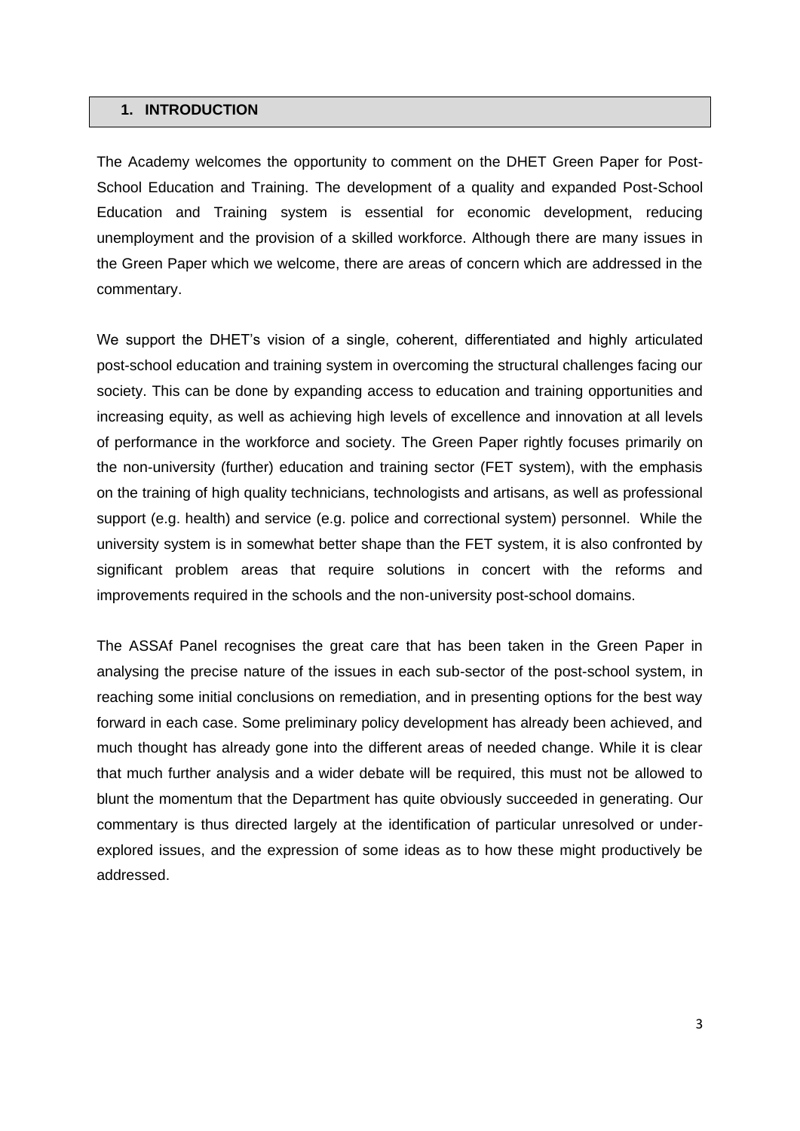#### <span id="page-2-0"></span>**1. INTRODUCTION**

The Academy welcomes the opportunity to comment on the DHET Green Paper for Post-School Education and Training. The development of a quality and expanded Post-School Education and Training system is essential for economic development, reducing unemployment and the provision of a skilled workforce. Although there are many issues in the Green Paper which we welcome, there are areas of concern which are addressed in the commentary.

We support the DHET's vision of a single, coherent, differentiated and highly articulated post-school education and training system in overcoming the structural challenges facing our society. This can be done by expanding access to education and training opportunities and increasing equity, as well as achieving high levels of excellence and innovation at all levels of performance in the workforce and society. The Green Paper rightly focuses primarily on the non-university (further) education and training sector (FET system), with the emphasis on the training of high quality technicians, technologists and artisans, as well as professional support (e.g. health) and service (e.g. police and correctional system) personnel. While the university system is in somewhat better shape than the FET system, it is also confronted by significant problem areas that require solutions in concert with the reforms and improvements required in the schools and the non-university post-school domains.

The ASSAf Panel recognises the great care that has been taken in the Green Paper in analysing the precise nature of the issues in each sub-sector of the post-school system, in reaching some initial conclusions on remediation, and in presenting options for the best way forward in each case. Some preliminary policy development has already been achieved, and much thought has already gone into the different areas of needed change. While it is clear that much further analysis and a wider debate will be required, this must not be allowed to blunt the momentum that the Department has quite obviously succeeded in generating. Our commentary is thus directed largely at the identification of particular unresolved or underexplored issues, and the expression of some ideas as to how these might productively be addressed.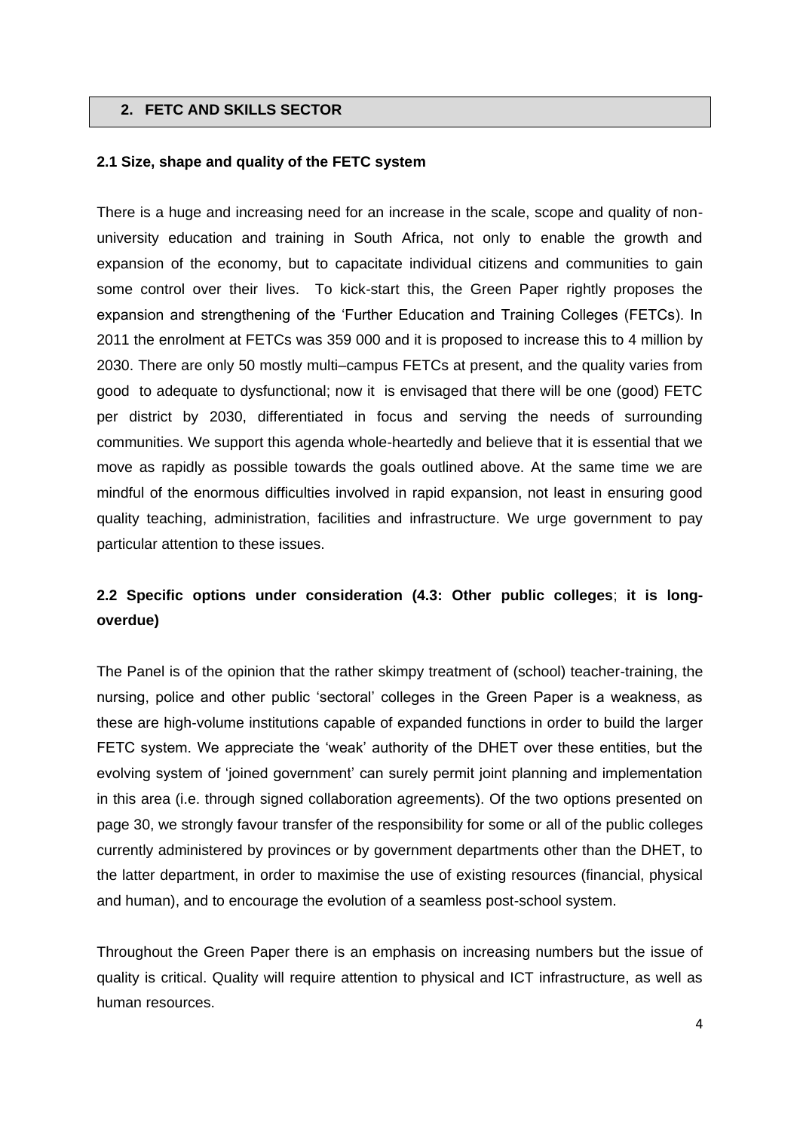### <span id="page-3-0"></span>**2. FETC AND SKILLS SECTOR**

## <span id="page-3-1"></span>**2.1 Size, shape and quality of the FETC system**

There is a huge and increasing need for an increase in the scale, scope and quality of nonuniversity education and training in South Africa, not only to enable the growth and expansion of the economy, but to capacitate individual citizens and communities to gain some control over their lives. To kick-start this, the Green Paper rightly proposes the expansion and strengthening of the 'Further Education and Training Colleges (FETCs). In 2011 the enrolment at FETCs was 359 000 and it is proposed to increase this to 4 million by 2030. There are only 50 mostly multi–campus FETCs at present, and the quality varies from good to adequate to dysfunctional; now it is envisaged that there will be one (good) FETC per district by 2030, differentiated in focus and serving the needs of surrounding communities. We support this agenda whole-heartedly and believe that it is essential that we move as rapidly as possible towards the goals outlined above. At the same time we are mindful of the enormous difficulties involved in rapid expansion, not least in ensuring good quality teaching, administration, facilities and infrastructure. We urge government to pay particular attention to these issues.

## **2.2 Specific options under consideration (4.3: Other public colleges**; **it is longoverdue)**

The Panel is of the opinion that the rather skimpy treatment of (school) teacher-training, the nursing, police and other public 'sectoral' colleges in the Green Paper is a weakness, as these are high-volume institutions capable of expanded functions in order to build the larger FETC system. We appreciate the 'weak' authority of the DHET over these entities, but the evolving system of 'joined government' can surely permit joint planning and implementation in this area (i.e. through signed collaboration agreements). Of the two options presented on page 30, we strongly favour transfer of the responsibility for some or all of the public colleges currently administered by provinces or by government departments other than the DHET, to the latter department, in order to maximise the use of existing resources (financial, physical and human), and to encourage the evolution of a seamless post-school system.

Throughout the Green Paper there is an emphasis on increasing numbers but the issue of quality is critical. Quality will require attention to physical and ICT infrastructure, as well as human resources.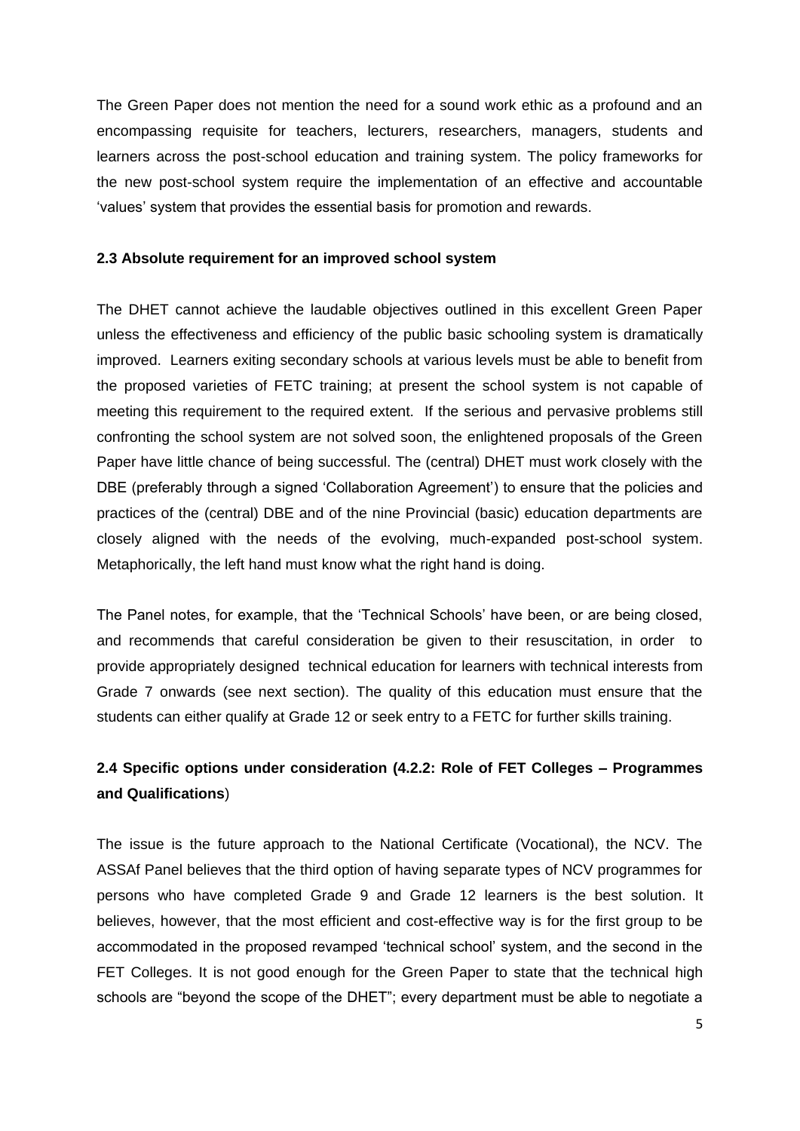The Green Paper does not mention the need for a sound work ethic as a profound and an encompassing requisite for teachers, lecturers, researchers, managers, students and learners across the post-school education and training system. The policy frameworks for the new post-school system require the implementation of an effective and accountable 'values' system that provides the essential basis for promotion and rewards.

#### <span id="page-4-0"></span>**2.3 Absolute requirement for an improved school system**

The DHET cannot achieve the laudable objectives outlined in this excellent Green Paper unless the effectiveness and efficiency of the public basic schooling system is dramatically improved. Learners exiting secondary schools at various levels must be able to benefit from the proposed varieties of FETC training; at present the school system is not capable of meeting this requirement to the required extent. If the serious and pervasive problems still confronting the school system are not solved soon, the enlightened proposals of the Green Paper have little chance of being successful. The (central) DHET must work closely with the DBE (preferably through a signed 'Collaboration Agreement') to ensure that the policies and practices of the (central) DBE and of the nine Provincial (basic) education departments are closely aligned with the needs of the evolving, much-expanded post-school system. Metaphorically, the left hand must know what the right hand is doing.

The Panel notes, for example, that the 'Technical Schools' have been, or are being closed, and recommends that careful consideration be given to their resuscitation, in order to provide appropriately designed technical education for learners with technical interests from Grade 7 onwards (see next section). The quality of this education must ensure that the students can either qualify at Grade 12 or seek entry to a FETC for further skills training.

## **2.4 Specific options under consideration (4.2.2: Role of FET Colleges** *–* **Programmes and Qualifications**)

The issue is the future approach to the National Certificate (Vocational), the NCV. The ASSAf Panel believes that the third option of having separate types of NCV programmes for persons who have completed Grade 9 and Grade 12 learners is the best solution. It believes, however, that the most efficient and cost-effective way is for the first group to be accommodated in the proposed revamped 'technical school' system, and the second in the FET Colleges. It is not good enough for the Green Paper to state that the technical high schools are "beyond the scope of the DHET"; every department must be able to negotiate a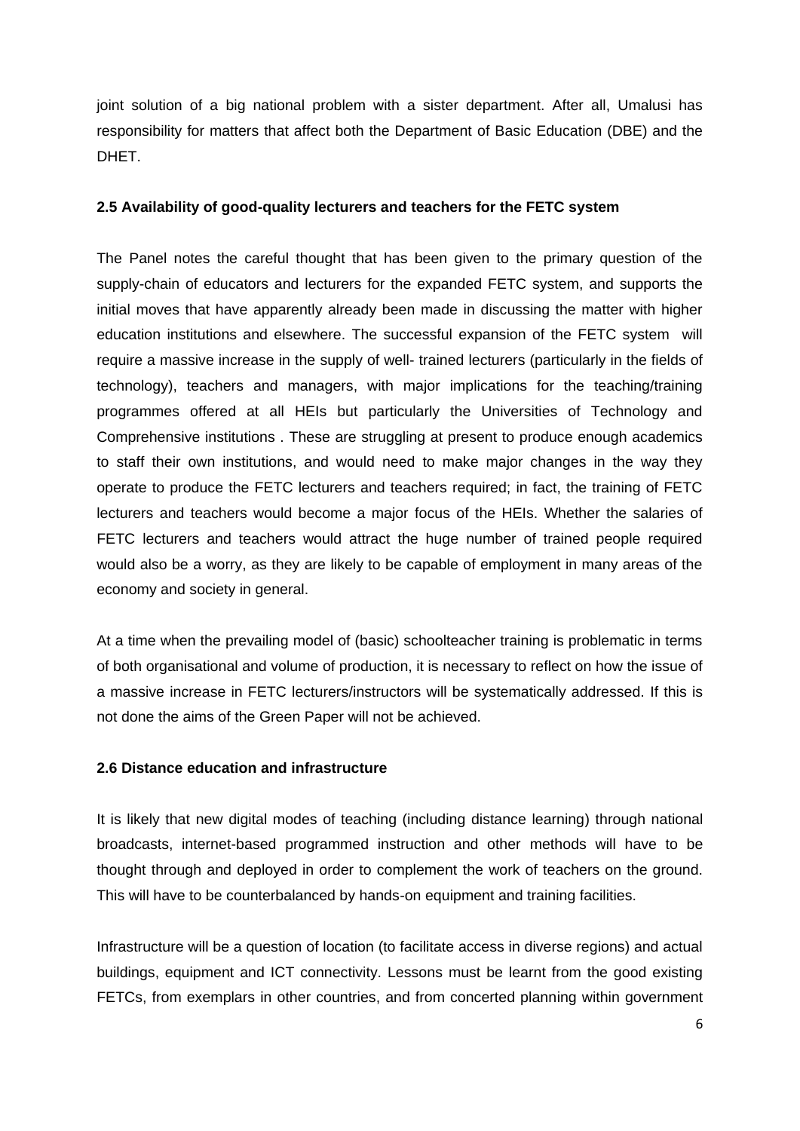joint solution of a big national problem with a sister department. After all, Umalusi has responsibility for matters that affect both the Department of Basic Education (DBE) and the DHET.

#### <span id="page-5-0"></span>**2.5 Availability of good-quality lecturers and teachers for the FETC system**

The Panel notes the careful thought that has been given to the primary question of the supply-chain of educators and lecturers for the expanded FETC system, and supports the initial moves that have apparently already been made in discussing the matter with higher education institutions and elsewhere. The successful expansion of the FETC system will require a massive increase in the supply of well- trained lecturers (particularly in the fields of technology), teachers and managers, with major implications for the teaching/training programmes offered at all HEIs but particularly the Universities of Technology and Comprehensive institutions . These are struggling at present to produce enough academics to staff their own institutions, and would need to make major changes in the way they operate to produce the FETC lecturers and teachers required; in fact, the training of FETC lecturers and teachers would become a major focus of the HEIs. Whether the salaries of FETC lecturers and teachers would attract the huge number of trained people required would also be a worry, as they are likely to be capable of employment in many areas of the economy and society in general.

At a time when the prevailing model of (basic) schoolteacher training is problematic in terms of both organisational and volume of production, it is necessary to reflect on how the issue of a massive increase in FETC lecturers/instructors will be systematically addressed. If this is not done the aims of the Green Paper will not be achieved.

#### <span id="page-5-1"></span>**2.6 Distance education and infrastructure**

It is likely that new digital modes of teaching (including distance learning) through national broadcasts, internet-based programmed instruction and other methods will have to be thought through and deployed in order to complement the work of teachers on the ground. This will have to be counterbalanced by hands-on equipment and training facilities.

Infrastructure will be a question of location (to facilitate access in diverse regions) and actual buildings, equipment and ICT connectivity. Lessons must be learnt from the good existing FETCs, from exemplars in other countries, and from concerted planning within government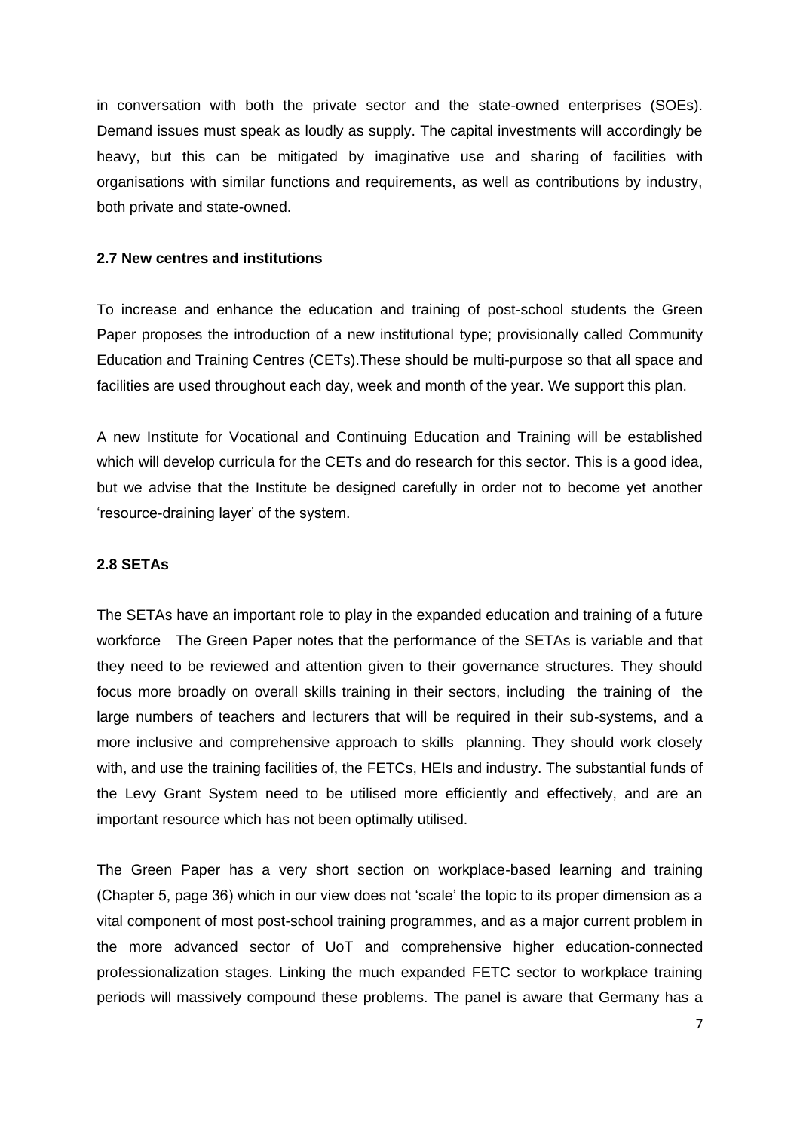in conversation with both the private sector and the state-owned enterprises (SOEs). Demand issues must speak as loudly as supply. The capital investments will accordingly be heavy, but this can be mitigated by imaginative use and sharing of facilities with organisations with similar functions and requirements, as well as contributions by industry, both private and state-owned.

## <span id="page-6-0"></span>**2.7 New centres and institutions**

To increase and enhance the education and training of post-school students the Green Paper proposes the introduction of a new institutional type; provisionally called Community Education and Training Centres (CETs).These should be multi-purpose so that all space and facilities are used throughout each day, week and month of the year. We support this plan.

A new Institute for Vocational and Continuing Education and Training will be established which will develop curricula for the CETs and do research for this sector. This is a good idea, but we advise that the Institute be designed carefully in order not to become yet another 'resource-draining layer' of the system.

### <span id="page-6-1"></span>**2.8 SETAs**

The SETAs have an important role to play in the expanded education and training of a future workforce The Green Paper notes that the performance of the SETAs is variable and that they need to be reviewed and attention given to their governance structures. They should focus more broadly on overall skills training in their sectors, including the training of the large numbers of teachers and lecturers that will be required in their sub-systems, and a more inclusive and comprehensive approach to skills planning. They should work closely with, and use the training facilities of, the FETCs, HEIs and industry. The substantial funds of the Levy Grant System need to be utilised more efficiently and effectively, and are an important resource which has not been optimally utilised.

The Green Paper has a very short section on workplace-based learning and training (Chapter 5, page 36) which in our view does not 'scale' the topic to its proper dimension as a vital component of most post-school training programmes, and as a major current problem in the more advanced sector of UoT and comprehensive higher education-connected professionalization stages. Linking the much expanded FETC sector to workplace training periods will massively compound these problems. The panel is aware that Germany has a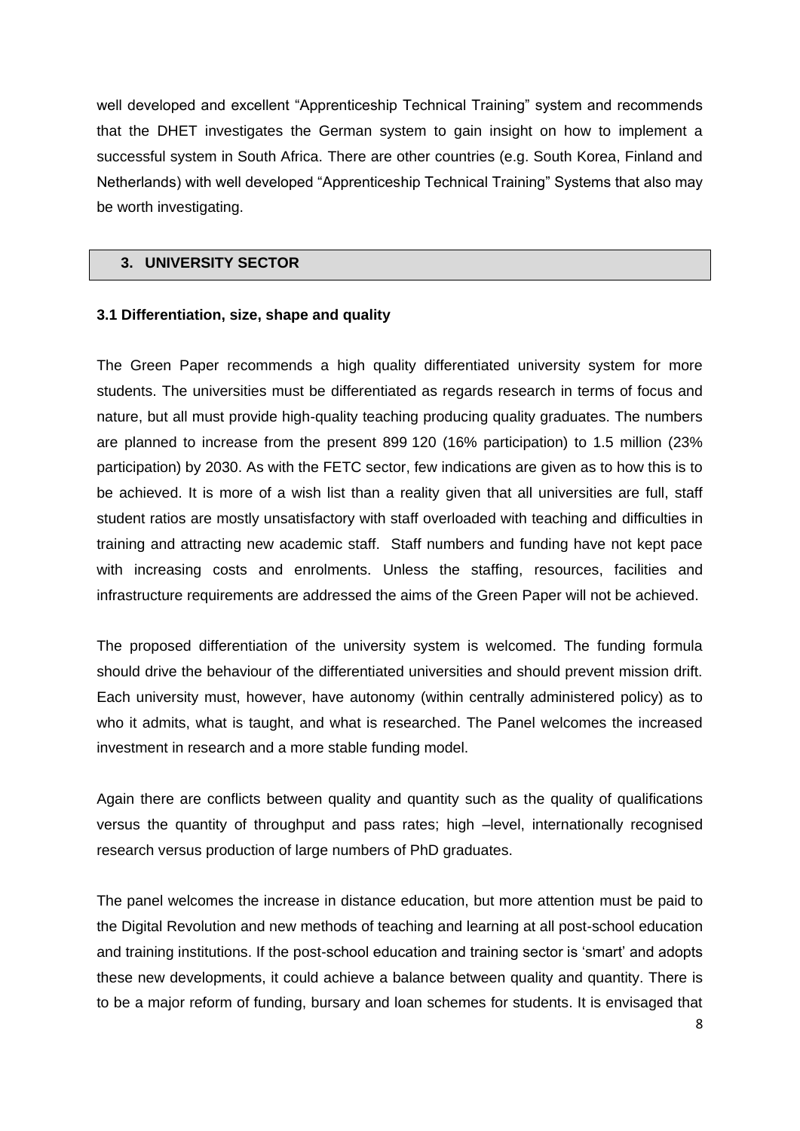well developed and excellent "Apprenticeship Technical Training" system and recommends that the DHET investigates the German system to gain insight on how to implement a successful system in South Africa. There are other countries (e.g. South Korea, Finland and Netherlands) with well developed "Apprenticeship Technical Training" Systems that also may be worth investigating.

## <span id="page-7-0"></span>**3. UNIVERSITY SECTOR**

## <span id="page-7-1"></span>**3.1 Differentiation, size, shape and quality**

The Green Paper recommends a high quality differentiated university system for more students. The universities must be differentiated as regards research in terms of focus and nature, but all must provide high-quality teaching producing quality graduates. The numbers are planned to increase from the present 899 120 (16% participation) to 1.5 million (23% participation) by 2030. As with the FETC sector, few indications are given as to how this is to be achieved. It is more of a wish list than a reality given that all universities are full, staff student ratios are mostly unsatisfactory with staff overloaded with teaching and difficulties in training and attracting new academic staff. Staff numbers and funding have not kept pace with increasing costs and enrolments. Unless the staffing, resources, facilities and infrastructure requirements are addressed the aims of the Green Paper will not be achieved.

The proposed differentiation of the university system is welcomed. The funding formula should drive the behaviour of the differentiated universities and should prevent mission drift. Each university must, however, have autonomy (within centrally administered policy) as to who it admits, what is taught, and what is researched. The Panel welcomes the increased investment in research and a more stable funding model.

Again there are conflicts between quality and quantity such as the quality of qualifications versus the quantity of throughput and pass rates; high –level, internationally recognised research versus production of large numbers of PhD graduates.

The panel welcomes the increase in distance education, but more attention must be paid to the Digital Revolution and new methods of teaching and learning at all post-school education and training institutions. If the post-school education and training sector is 'smart' and adopts these new developments, it could achieve a balance between quality and quantity. There is to be a major reform of funding, bursary and loan schemes for students. It is envisaged that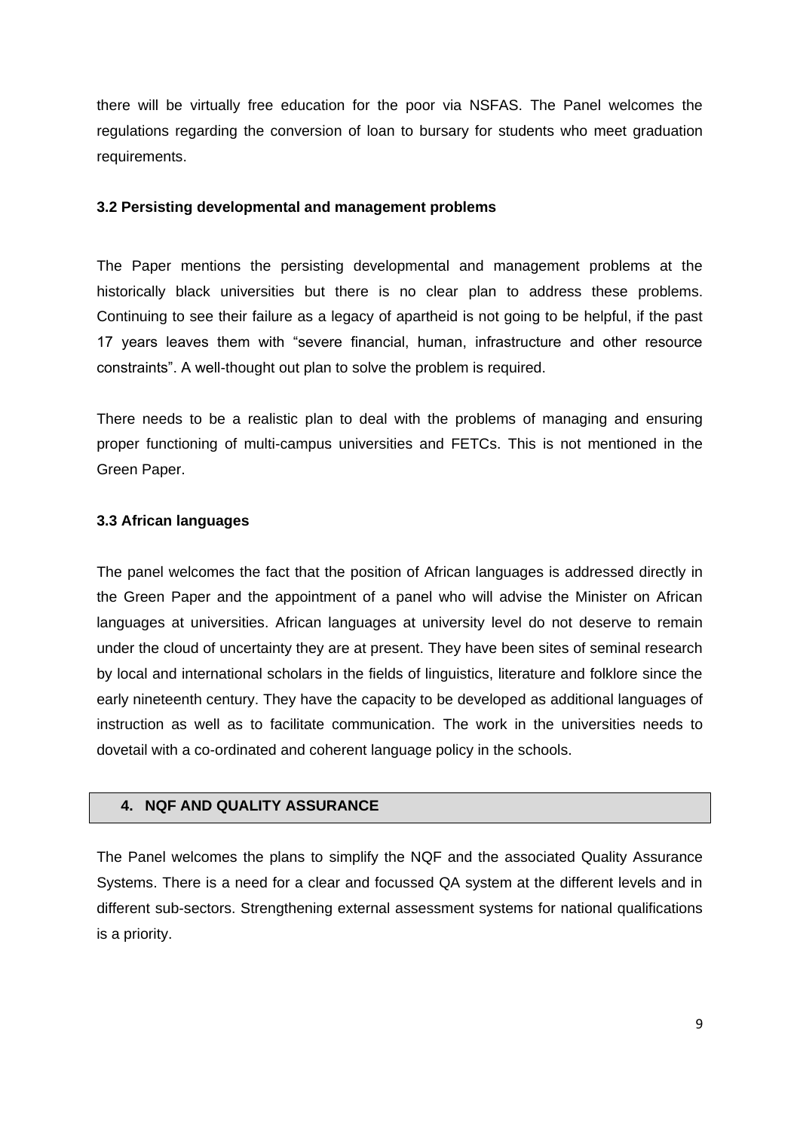there will be virtually free education for the poor via NSFAS. The Panel welcomes the regulations regarding the conversion of loan to bursary for students who meet graduation requirements.

## <span id="page-8-0"></span>**3.2 Persisting developmental and management problems**

The Paper mentions the persisting developmental and management problems at the historically black universities but there is no clear plan to address these problems. Continuing to see their failure as a legacy of apartheid is not going to be helpful, if the past 17 years leaves them with "severe financial, human, infrastructure and other resource constraints". A well-thought out plan to solve the problem is required.

There needs to be a realistic plan to deal with the problems of managing and ensuring proper functioning of multi-campus universities and FETCs. This is not mentioned in the Green Paper.

## <span id="page-8-1"></span>**3.3 African languages**

The panel welcomes the fact that the position of African languages is addressed directly in the Green Paper and the appointment of a panel who will advise the Minister on African languages at universities. African languages at university level do not deserve to remain under the cloud of uncertainty they are at present. They have been sites of seminal research by local and international scholars in the fields of linguistics, literature and folklore since the early nineteenth century. They have the capacity to be developed as additional languages of instruction as well as to facilitate communication. The work in the universities needs to dovetail with a co-ordinated and coherent language policy in the schools.

## <span id="page-8-2"></span>**4. NQF AND QUALITY ASSURANCE**

The Panel welcomes the plans to simplify the NQF and the associated Quality Assurance Systems. There is a need for a clear and focussed QA system at the different levels and in different sub-sectors. Strengthening external assessment systems for national qualifications is a priority.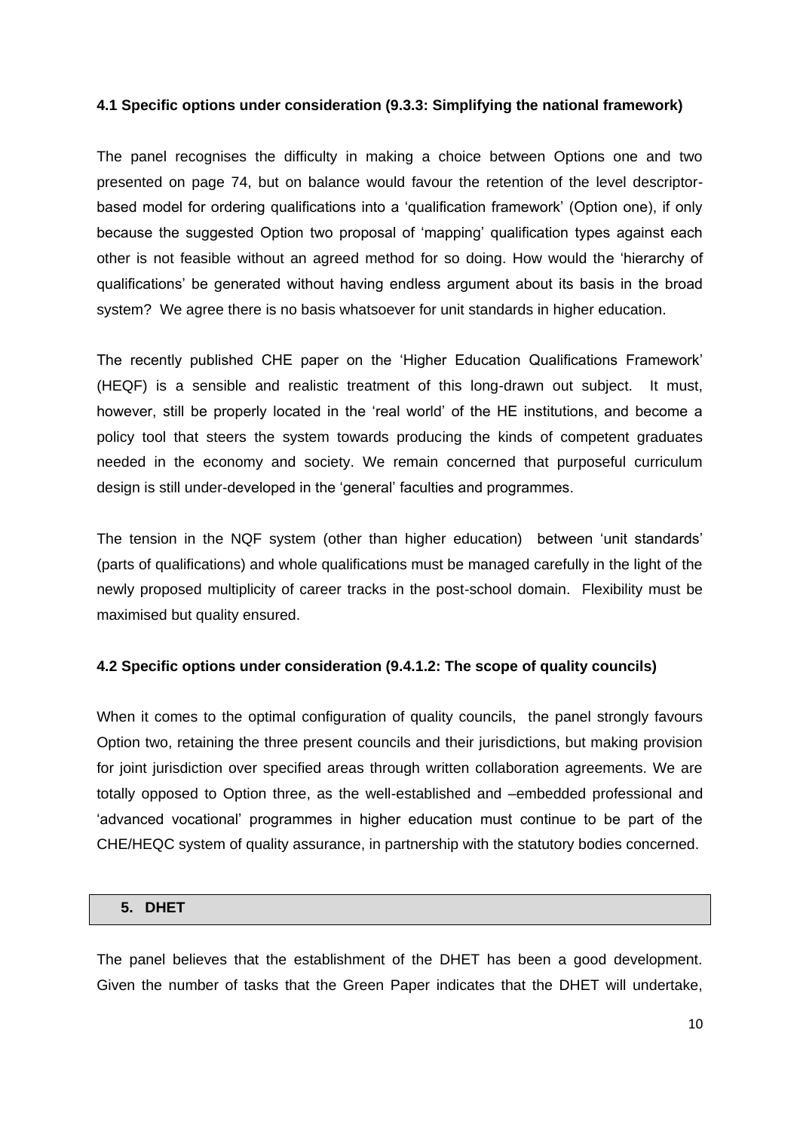## **4.1 Specific options under consideration (9.3.3: Simplifying the national framework)**

The panel recognises the difficulty in making a choice between Options one and two presented on page 74, but on balance would favour the retention of the level descriptorbased model for ordering qualifications into a 'qualification framework' (Option one), if only because the suggested Option two proposal of 'mapping' qualification types against each other is not feasible without an agreed method for so doing. How would the 'hierarchy of qualifications' be generated without having endless argument about its basis in the broad system? We agree there is no basis whatsoever for unit standards in higher education.

The recently published CHE paper on the 'Higher Education Qualifications Framework' (HEQF) is a sensible and realistic treatment of this long-drawn out subject. It must, however, still be properly located in the 'real world' of the HE institutions, and become a policy tool that steers the system towards producing the kinds of competent graduates needed in the economy and society. We remain concerned that purposeful curriculum design is still under-developed in the 'general' faculties and programmes.

The tension in the NQF system (other than higher education) between 'unit standards' (parts of qualifications) and whole qualifications must be managed carefully in the light of the newly proposed multiplicity of career tracks in the post-school domain. Flexibility must be maximised but quality ensured.

## **4.2 Specific options under consideration (9.4.1.2: The scope of quality councils)**

When it comes to the optimal configuration of quality councils, the panel strongly favours Option two, retaining the three present councils and their jurisdictions, but making provision for joint jurisdiction over specified areas through written collaboration agreements. We are totally opposed to Option three, as the well-established and –embedded professional and 'advanced vocational' programmes in higher education must continue to be part of the CHE/HEQC system of quality assurance, in partnership with the statutory bodies concerned.

#### <span id="page-9-0"></span>**5. DHET**

The panel believes that the establishment of the DHET has been a good development. Given the number of tasks that the Green Paper indicates that the DHET will undertake,